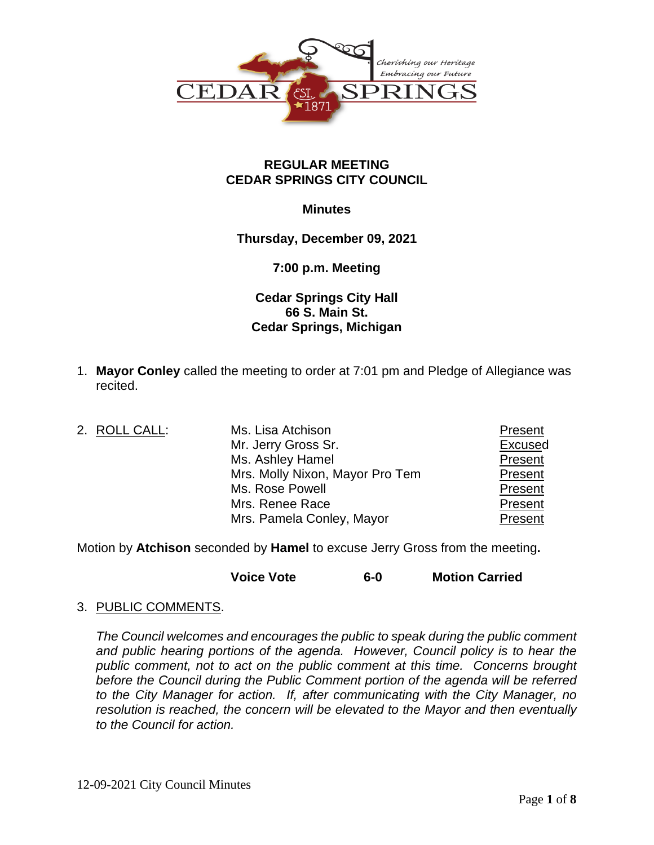

### **REGULAR MEETING CEDAR SPRINGS CITY COUNCIL**

### **Minutes**

**Thursday, December 09, 2021**

# **7:00 p.m. Meeting**

# **Cedar Springs City Hall 66 S. Main St. Cedar Springs, Michigan**

- 1. **Mayor Conley** called the meeting to order at 7:01 pm and Pledge of Allegiance was recited.
- 2. ROLL CALL: Ms. Lisa Atchison Mistorian Changes and Present Mr. Jerry Gross Sr. **Excused** Ms. Ashley Hamel **Present** Mrs. Molly Nixon, Mayor Pro Tem Present Ms. Rose Powell **Access 20 Figure 2018** Present Mrs. Renee Race **Present** Mrs. Pamela Conley, Mayor **Present**

Motion by **Atchison** seconded by **Hamel** to excuse Jerry Gross from the meeting**.**

**Voice Vote 6-0 Motion Carried**

### 3. PUBLIC COMMENTS.

*The Council welcomes and encourages the public to speak during the public comment*  and public hearing portions of the agenda. However, Council policy is to hear the *public comment, not to act on the public comment at this time. Concerns brought before the Council during the Public Comment portion of the agenda will be referred to the City Manager for action. If, after communicating with the City Manager, no resolution is reached, the concern will be elevated to the Mayor and then eventually to the Council for action.*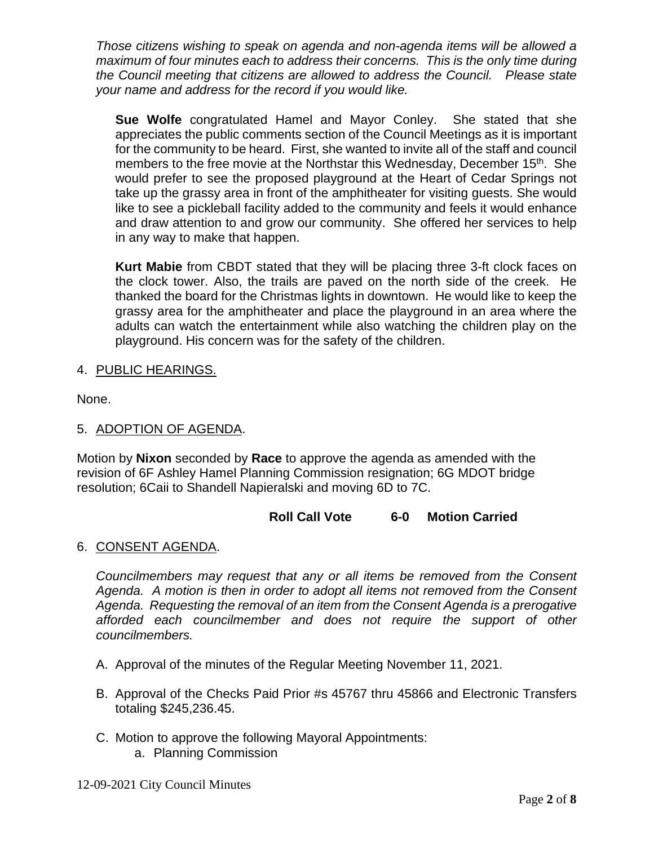*Those citizens wishing to speak on agenda and non-agenda items will be allowed a maximum of four minutes each to address their concerns. This is the only time during the Council meeting that citizens are allowed to address the Council. Please state your name and address for the record if you would like.*

**Sue Wolfe** congratulated Hamel and Mayor Conley. She stated that she appreciates the public comments section of the Council Meetings as it is important for the community to be heard. First, she wanted to invite all of the staff and council members to the free movie at the Northstar this Wednesday, December 15<sup>th</sup>. She would prefer to see the proposed playground at the Heart of Cedar Springs not take up the grassy area in front of the amphitheater for visiting guests. She would like to see a pickleball facility added to the community and feels it would enhance and draw attention to and grow our community. She offered her services to help in any way to make that happen.

**Kurt Mabie** from CBDT stated that they will be placing three 3-ft clock faces on the clock tower. Also, the trails are paved on the north side of the creek. He thanked the board for the Christmas lights in downtown. He would like to keep the grassy area for the amphitheater and place the playground in an area where the adults can watch the entertainment while also watching the children play on the playground. His concern was for the safety of the children.

# 4. PUBLIC HEARINGS.

None.

# 5. ADOPTION OF AGENDA.

Motion by **Nixon** seconded by **Race** to approve the agenda as amended with the revision of 6F Ashley Hamel Planning Commission resignation; 6G MDOT bridge resolution; 6Caii to Shandell Napieralski and moving 6D to 7C.

### **Roll Call Vote 6-0 Motion Carried**

### 6. CONSENT AGENDA.

*Councilmembers may request that any or all items be removed from the Consent Agenda. A motion is then in order to adopt all items not removed from the Consent Agenda. Requesting the removal of an item from the Consent Agenda is a prerogative afforded each councilmember and does not require the support of other councilmembers.*

- A. Approval of the minutes of the Regular Meeting November 11, 2021.
- B. Approval of the Checks Paid Prior #s 45767 thru 45866 and Electronic Transfers totaling \$245,236.45.
- C. Motion to approve the following Mayoral Appointments: a. Planning Commission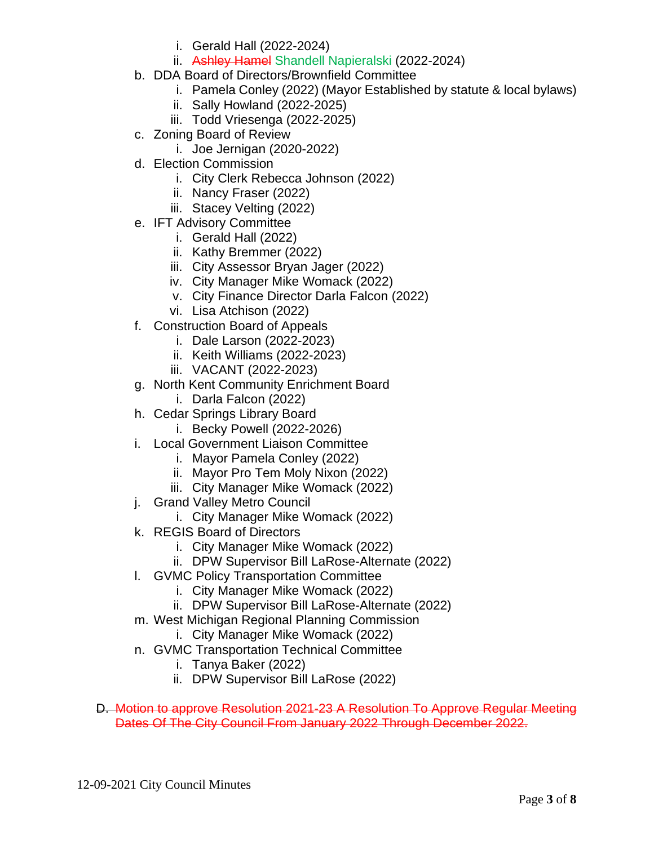- i. Gerald Hall (2022-2024)
- ii. Ashley Hamel Shandell Napieralski (2022-2024)
- b. DDA Board of Directors/Brownfield Committee
	- i. Pamela Conley (2022) (Mayor Established by statute & local bylaws)
	- ii. Sally Howland (2022-2025)
	- iii. Todd Vriesenga (2022-2025)
- c. Zoning Board of Review
	- i. Joe Jernigan (2020-2022)
- d. Election Commission
	- i. City Clerk Rebecca Johnson (2022)
	- ii. Nancy Fraser (2022)
	- iii. Stacey Velting (2022)
- e. IFT Advisory Committee
	- i. Gerald Hall (2022)
	- ii. Kathy Bremmer (2022)
	- iii. City Assessor Bryan Jager (2022)
	- iv. City Manager Mike Womack (2022)
	- v. City Finance Director Darla Falcon (2022)
	- vi. Lisa Atchison (2022)
- f. Construction Board of Appeals
	- i. Dale Larson (2022-2023)
	- ii. Keith Williams (2022-2023)
	- iii. VACANT (2022-2023)
- g. North Kent Community Enrichment Board
	- i. Darla Falcon (2022)
- h. Cedar Springs Library Board
	- i. Becky Powell (2022-2026)
- i. Local Government Liaison Committee
	- i. Mayor Pamela Conley (2022)
	- ii. Mayor Pro Tem Moly Nixon (2022)
	- iii. City Manager Mike Womack (2022)
- j. Grand Valley Metro Council
	- i. City Manager Mike Womack (2022)
- k. REGIS Board of Directors
	- i. City Manager Mike Womack (2022)
	- ii. DPW Supervisor Bill LaRose-Alternate (2022)
- l. GVMC Policy Transportation Committee
	- i. City Manager Mike Womack (2022)
	- ii. DPW Supervisor Bill LaRose-Alternate (2022)
- m. West Michigan Regional Planning Commission i. City Manager Mike Womack (2022)
	-
- n. GVMC Transportation Technical Committee
	- i. Tanya Baker (2022)
	- ii. DPW Supervisor Bill LaRose (2022)
- D. Motion to approve Resolution 2021-23 A Resolution To Approve Regular Meeting Dates Of The City Council From January 2022 Through December 2022.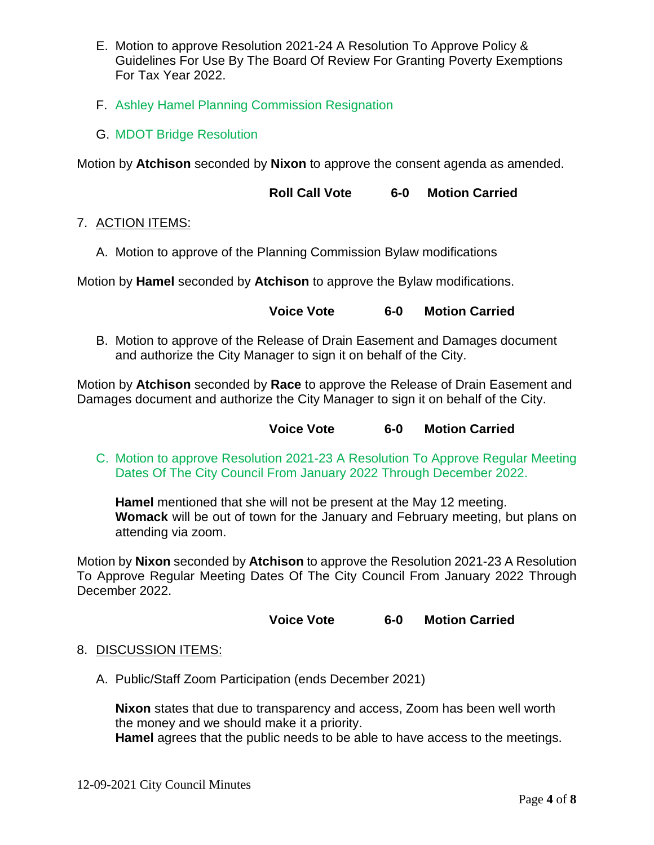- E. Motion to approve Resolution 2021-24 A Resolution To Approve Policy & Guidelines For Use By The Board Of Review For Granting Poverty Exemptions For Tax Year 2022.
- F. Ashley Hamel Planning Commission Resignation
- G. MDOT Bridge Resolution

Motion by **Atchison** seconded by **Nixon** to approve the consent agenda as amended.

**Roll Call Vote 6-0 Motion Carried** 

# 7. ACTION ITEMS:

A. Motion to approve of the Planning Commission Bylaw modifications

Motion by **Hamel** seconded by **Atchison** to approve the Bylaw modifications.

### **Voice Vote 6-0 Motion Carried**

B. Motion to approve of the Release of Drain Easement and Damages document and authorize the City Manager to sign it on behalf of the City.

Motion by **Atchison** seconded by **Race** to approve the Release of Drain Easement and Damages document and authorize the City Manager to sign it on behalf of the City.

**Voice Vote 6-0 Motion Carried**

C. Motion to approve Resolution 2021-23 A Resolution To Approve Regular Meeting Dates Of The City Council From January 2022 Through December 2022.

**Hamel** mentioned that she will not be present at the May 12 meeting. **Womack** will be out of town for the January and February meeting, but plans on attending via zoom.

Motion by **Nixon** seconded by **Atchison** to approve the Resolution 2021-23 A Resolution To Approve Regular Meeting Dates Of The City Council From January 2022 Through December 2022.

### **Voice Vote 6-0 Motion Carried**

### 8. DISCUSSION ITEMS:

A. Public/Staff Zoom Participation (ends December 2021)

**Nixon** states that due to transparency and access, Zoom has been well worth the money and we should make it a priority.

**Hamel** agrees that the public needs to be able to have access to the meetings.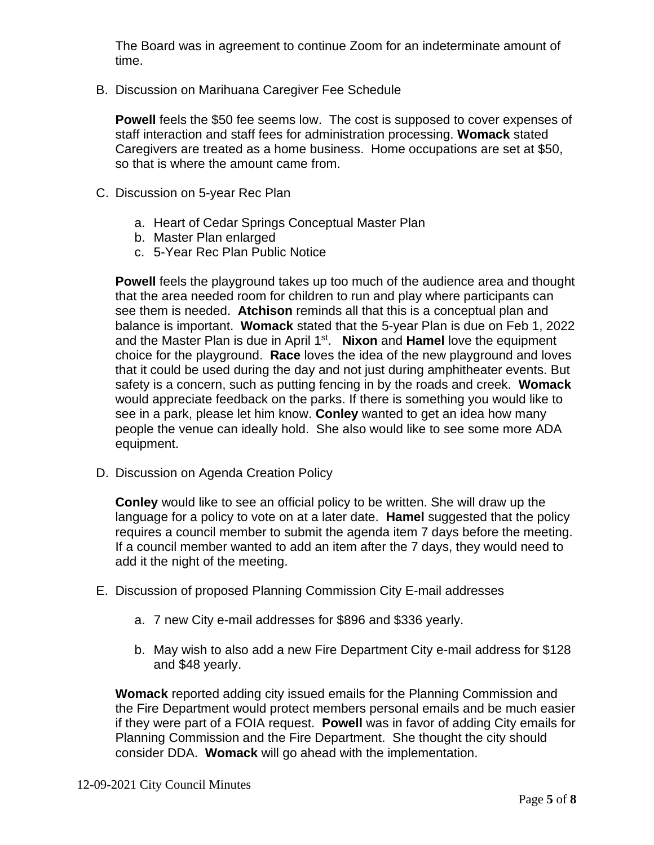The Board was in agreement to continue Zoom for an indeterminate amount of time.

B. Discussion on Marihuana Caregiver Fee Schedule

**Powell** feels the \$50 fee seems low. The cost is supposed to cover expenses of staff interaction and staff fees for administration processing. **Womack** stated Caregivers are treated as a home business. Home occupations are set at \$50, so that is where the amount came from.

- C. Discussion on 5-year Rec Plan
	- a. Heart of Cedar Springs Conceptual Master Plan
	- b. Master Plan enlarged
	- c. 5-Year Rec Plan Public Notice

**Powell** feels the playground takes up too much of the audience area and thought that the area needed room for children to run and play where participants can see them is needed. **Atchison** reminds all that this is a conceptual plan and balance is important. **Womack** stated that the 5-year Plan is due on Feb 1, 2022 and the Master Plan is due in April 1st. **Nixon** and **Hamel** love the equipment choice for the playground. **Race** loves the idea of the new playground and loves that it could be used during the day and not just during amphitheater events. But safety is a concern, such as putting fencing in by the roads and creek. **Womack** would appreciate feedback on the parks. If there is something you would like to see in a park, please let him know. **Conley** wanted to get an idea how many people the venue can ideally hold. She also would like to see some more ADA equipment.

D. Discussion on Agenda Creation Policy

**Conley** would like to see an official policy to be written. She will draw up the language for a policy to vote on at a later date. **Hamel** suggested that the policy requires a council member to submit the agenda item 7 days before the meeting. If a council member wanted to add an item after the 7 days, they would need to add it the night of the meeting.

- E. Discussion of proposed Planning Commission City E-mail addresses
	- a. 7 new City e-mail addresses for \$896 and \$336 yearly.
	- b. May wish to also add a new Fire Department City e-mail address for \$128 and \$48 yearly.

**Womack** reported adding city issued emails for the Planning Commission and the Fire Department would protect members personal emails and be much easier if they were part of a FOIA request. **Powell** was in favor of adding City emails for Planning Commission and the Fire Department. She thought the city should consider DDA. **Womack** will go ahead with the implementation.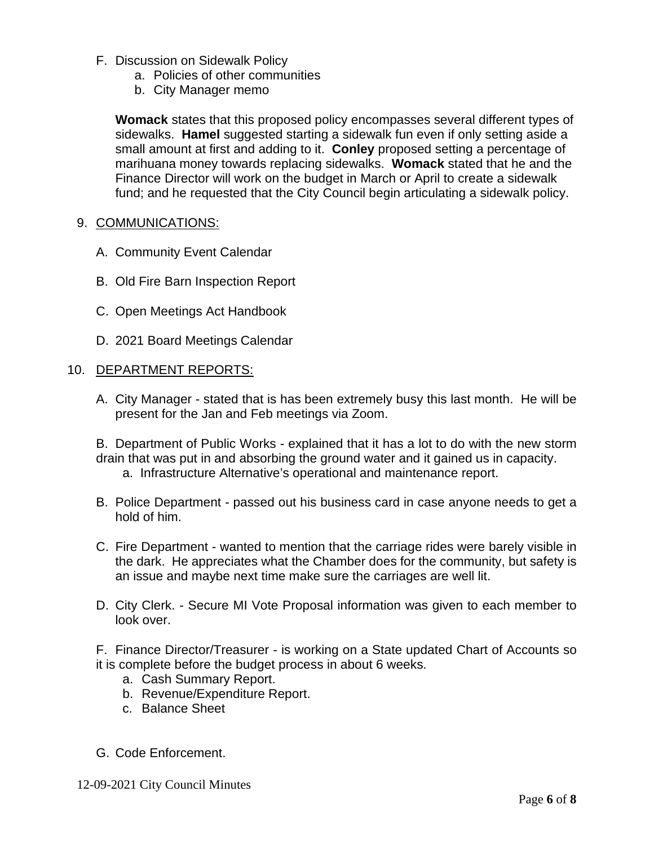- F. Discussion on Sidewalk Policy
	- a. Policies of other communities
	- b. City Manager memo

**Womack** states that this proposed policy encompasses several different types of sidewalks. **Hamel** suggested starting a sidewalk fun even if only setting aside a small amount at first and adding to it. **Conley** proposed setting a percentage of marihuana money towards replacing sidewalks. **Womack** stated that he and the Finance Director will work on the budget in March or April to create a sidewalk fund; and he requested that the City Council begin articulating a sidewalk policy.

#### 9. COMMUNICATIONS:

- A. Community Event Calendar
- B. Old Fire Barn Inspection Report
- C. Open Meetings Act Handbook
- D. 2021 Board Meetings Calendar

#### 10. DEPARTMENT REPORTS:

A. City Manager - stated that is has been extremely busy this last month. He will be present for the Jan and Feb meetings via Zoom.

B. Department of Public Works - explained that it has a lot to do with the new storm drain that was put in and absorbing the ground water and it gained us in capacity. a. Infrastructure Alternative's operational and maintenance report.

- B. Police Department passed out his business card in case anyone needs to get a hold of him.
- C. Fire Department wanted to mention that the carriage rides were barely visible in the dark. He appreciates what the Chamber does for the community, but safety is an issue and maybe next time make sure the carriages are well lit.
- D. City Clerk. Secure MI Vote Proposal information was given to each member to look over.

F. Finance Director/Treasurer - is working on a State updated Chart of Accounts so it is complete before the budget process in about 6 weeks.

- a. Cash Summary Report.
- b. Revenue/Expenditure Report.
- c. Balance Sheet
- G. Code Enforcement.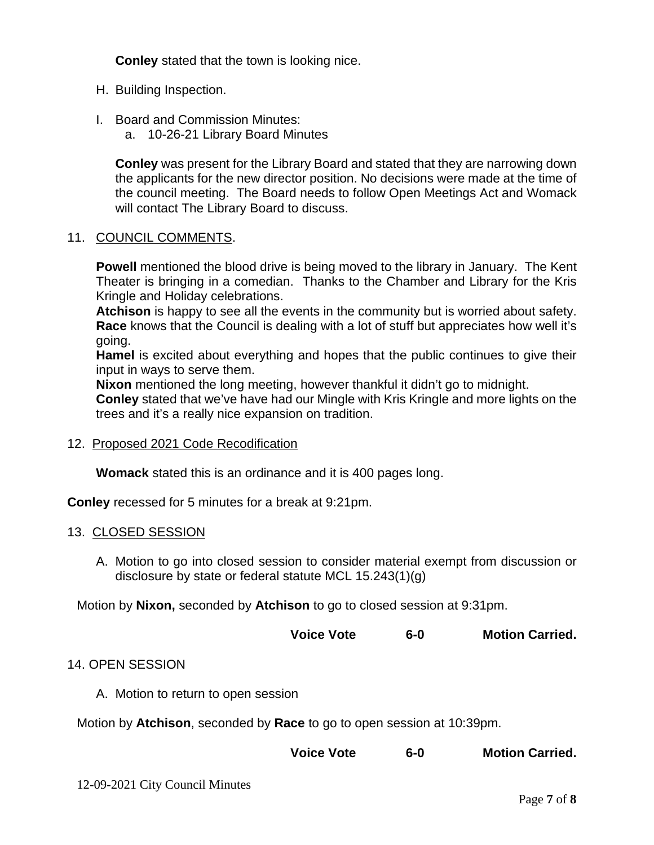**Conley** stated that the town is looking nice.

- H. Building Inspection.
- I. Board and Commission Minutes:
	- a. 10-26-21 Library Board Minutes

**Conley** was present for the Library Board and stated that they are narrowing down the applicants for the new director position. No decisions were made at the time of the council meeting. The Board needs to follow Open Meetings Act and Womack will contact The Library Board to discuss.

#### 11. COUNCIL COMMENTS.

**Powell** mentioned the blood drive is being moved to the library in January. The Kent Theater is bringing in a comedian. Thanks to the Chamber and Library for the Kris Kringle and Holiday celebrations.

**Atchison** is happy to see all the events in the community but is worried about safety. **Race** knows that the Council is dealing with a lot of stuff but appreciates how well it's going.

**Hamel** is excited about everything and hopes that the public continues to give their input in ways to serve them.

**Nixon** mentioned the long meeting, however thankful it didn't go to midnight.

**Conley** stated that we've have had our Mingle with Kris Kringle and more lights on the trees and it's a really nice expansion on tradition.

12. Proposed 2021 Code Recodification

**Womack** stated this is an ordinance and it is 400 pages long.

**Conley** recessed for 5 minutes for a break at 9:21pm.

#### 13. CLOSED SESSION

A. Motion to go into closed session to consider material exempt from discussion or disclosure by state or federal statute MCL 15.243(1)(g)

Motion by **Nixon,** seconded by **Atchison** to go to closed session at 9:31pm.

| <b>Voice Vote</b><br>$6-0$ | <b>Motion Carried.</b> |
|----------------------------|------------------------|
|----------------------------|------------------------|

### 14. OPEN SESSION

A. Motion to return to open session

Motion by **Atchison**, seconded by **Race** to go to open session at 10:39pm.

| <b>Motion Carried.</b><br><b>Voice Vote</b><br>$6-0$ |
|------------------------------------------------------|
|------------------------------------------------------|